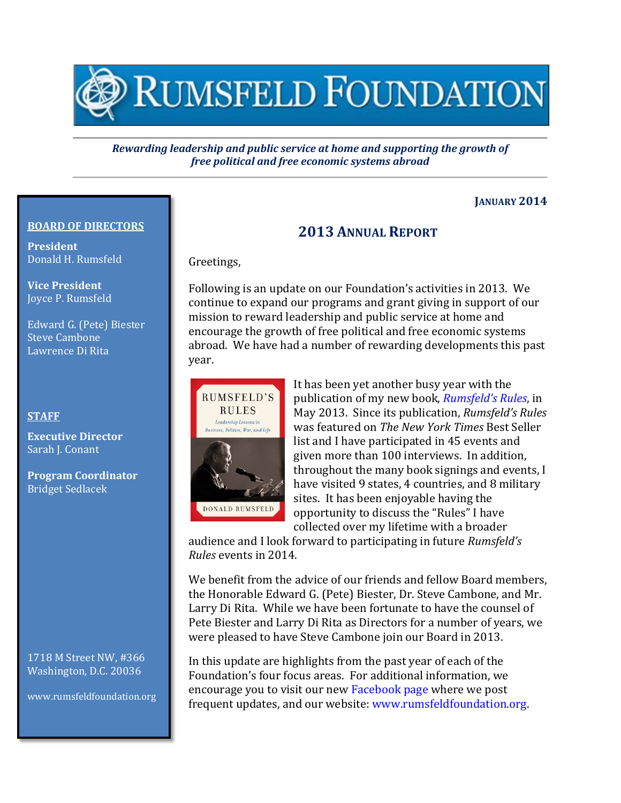

*Rewarding leadership and public service at home and supporting the growth of free political and free economic systems abroad*

#### **JANUARY 2014**

### **BOARD OF DIRECTORS**

**President** Donald H. Rumsfeld

**Vice President** Joyce P. Rumsfeld

Edward G. (Pete) Biester Steve Cambone Lawrence Di Rita

## **STAFF**

**Executive Director** Sarah J. Conant

**Program Coordinator** Bridget Sedlacek

1718 M Street NW, #366 Washington, D.C. 20036

www.rumsfeldfoundation.org

# **2013 ANNUAL REPORT**

Greetings,

Following is an update on our Foundation's activities in 2013. We continue to expand our programs and grant giving in support of our mission to reward leadership and public service at home and encourage the growth of free political and free economic systems abroad. We have had a number of rewarding developments this past year.



It has been yet another busy year with the publication of my new book, *[Rumsfeld's Rules](http://www.amazon.com/gp/product/0062272853/ref=as_li_ss_tl?ie=UTF8&camp=1789&creative=390957&creativeASIN=0062272853&linkCode=as2&tag=jdc1234-20)*, in May 2013. Since its publication, *Rumsfeld's Rules* was featured on *The New York Times* Best Seller list and I have participated in 45 events and given more than 100 interviews. In addition, throughout the many book signings and events, I have visited 9 states, 4 countries, and 8 military sites. It has been enjoyable having the opportunity to discuss the "Rules" I have collected over my lifetime with a broader

audience and I look forward to participating in future *Rumsfeld's Rules* events in 2014.

We benefit from the advice of our friends and fellow Board members, the Honorable Edward G. (Pete) Biester, Dr. Steve Cambone, and Mr. Larry Di Rita. While we have been fortunate to have the counsel of Pete Biester and Larry Di Rita as Directors for a number of years, we were pleased to have Steve Cambone join our Board in 2013.

In this update are highlights from the past year of each of the Foundation's four focus areas. For additional information, we encourage you to visit our new [Facebook page](https://www.facebook.com/rumsfeldfoundation) where we post frequent updates, and our website: [www.rumsfeldfoundation.org.](http://www.rumsfeldfoundation.org/)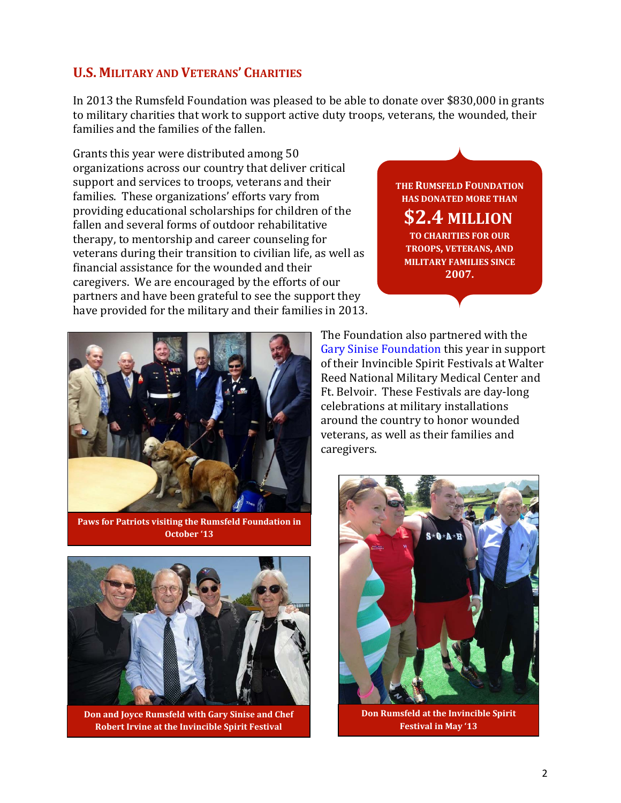## **U.S. MILITARY AND VETERANS' CHARITIES**

In 2013 the Rumsfeld Foundation was pleased to be able to donate over \$830,000 in grants to military charities that work to support active duty troops, veterans, the wounded, their families and the families of the fallen.

Grants this year were distributed among 50 organizations across our country that deliver critical support and services to troops, veterans and their families. These organizations' efforts vary from providing educational scholarships for children of the fallen and several forms of outdoor rehabilitative therapy, to mentorship and career counseling for veterans during their transition to civilian life, as well as financial assistance for the wounded and their caregivers. We are encouraged by the efforts of our partners and have been grateful to see the support they have provided for the military and their families in 2013.





**Paws for Patriots visiting the Rumsfeld Foundation in October '13**



**Don and Joyce Rumsfeld with Gary Sinise and Chef Robert Irvine at the Invincible Spirit Festival**

The Foundation also partnered with the [Gary Sinise Foundation](http://www.garysinisefoundation.org/) this year in support of their Invincible Spirit Festivals at Walter Reed National Military Medical Center and Ft. Belvoir. These Festivals are day-long celebrations at military installations around the country to honor wounded veterans, as well as their families and caregivers.



**Don Rumsfeld at the Invincible Spirit Festival in May '13**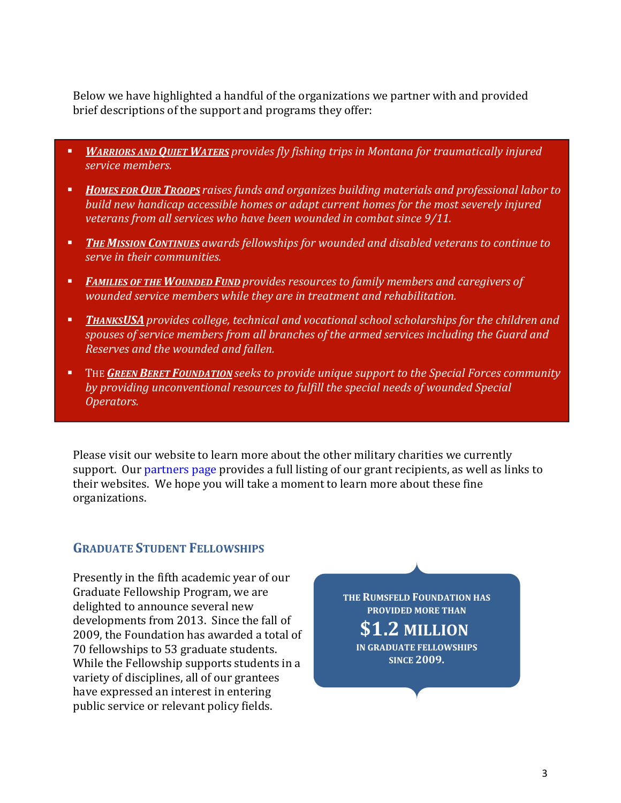Below we have highlighted a handful of the organizations we partner with and provided brief descriptions of the support and programs they offer:

- *[WARRIORS AND QUIET WATERS](http://warriorsandquietwaters.org/) provides fly fishing trips in Montana for traumatically injured service members.*
- *[HOMES FOR OUR TROOPS](https://www.hfotusa.org/) raises funds and organizes building materials and professional labor to build new handicap accessible homes or adapt current homes for the most severely injured veterans from all services who have been wounded in combat since 9/11.*
- *[THE MISSION CONTINUES](http://missioncontinues.org/) awards fellowships for wounded and disabled veterans to continue to serve in their communities.*
- *[FAMILIES OF THE WOUNDED FUND](http://familiesofthewoundedfund.org/) provides resources to family members and caregivers of wounded service members while they are in treatment and rehabilitation.*
- *[THANKSUSA](http://www.thanksusa.org/main/index.html) provides college, technical and vocational school scholarships for the children and spouses of service members from all branches of the armed services including the Guard and Reserves and the wounded and fallen.*
- **THE [GREEN BERET FOUNDATION](http://www.greenberetfoundation.org/)** seeks to provide unique support to the Special Forces community *by providing unconventional resources to fulfill the special needs of wounded Special Operators.*

Please visit our website to learn more about the other military charities we currently support. Our [partners page](http://www.rumsfeldfoundation.org/partners/page/our-troops) provides a full listing of our grant recipients, as well as links to their websites. We hope you will take a moment to learn more about these fine organizations.

# **GRADUATE STUDENT FELLOWSHIPS**

Presently in the fifth academic year of our Graduate Fellowship Program, we are delighted to announce several new developments from 2013. Since the fall of 2009, the Foundation has awarded a total of 70 fellowships to 53 graduate students. While the Fellowship supports students in a variety of disciplines, all of our grantees have expressed an interest in entering public service or relevant policy fields.

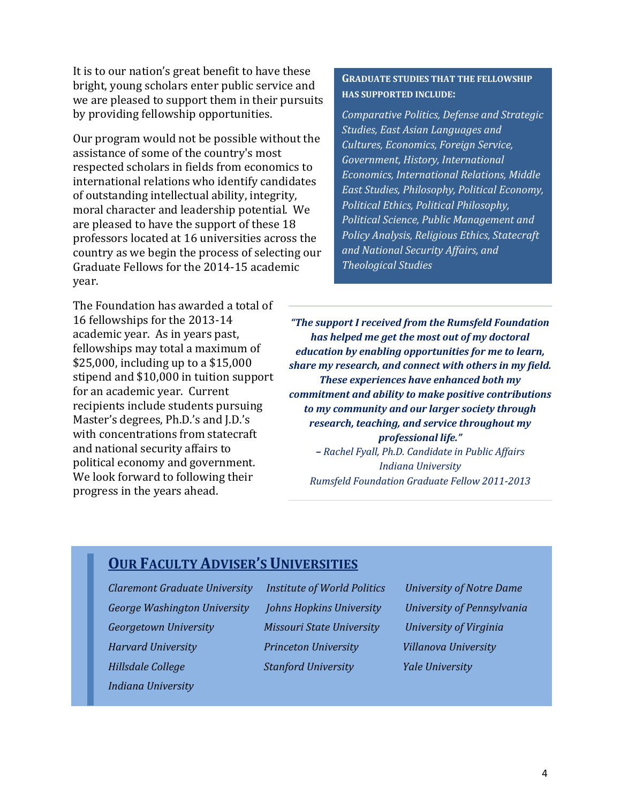It is to our nation's great benefit to have these bright, young scholars enter public service and we are pleased to support them in their pursuits by providing fellowship opportunities.

Our program would not be possible without the assistance of some of the country's most respected scholars in fields from economics to international relations who identify candidates of outstanding intellectual ability, integrity, moral character and leadership potential. We are pleased to have the support of these 18 professors located at 16 universities across the country as we begin the process of selecting our Graduate Fellows for the 2014-15 academic year.

#### **GRADUATE STUDIES THAT THE FELLOWSHIP HAS SUPPORTED INCLUDE:**

*Comparative Politics, Defense and Strategic Studies, East Asian Languages and Cultures, Economics, Foreign Service, Government, History, International Economics, International Relations, Middle East Studies, Philosophy, Political Economy, Political Ethics, Political Philosophy, Political Science, Public Management and Policy Analysis, Religious Ethics, Statecraft and National Security Affairs, and Theological Studies*

The Foundation has awarded a total of 16 fellowships for the 2013-14 academic year. As in years past, fellowships may total a maximum of \$25,000, including up to a \$15,000 stipend and \$10,000 in tuition support for an academic year. Current recipients include students pursuing Master's degrees, Ph.D.'s and I.D.'s with concentrations from statecraft and national security affairs to political economy and government. We look forward to following their progress in the years ahead.

*"The support I received from the Rumsfeld Foundation has helped me get the most out of my doctoral education by enabling opportunities for me to learn, share my research, and connect with others in my field. These experiences have enhanced both my commitment and ability to make positive contributions to my community and our larger society through research, teaching, and service throughout my professional life." – Rachel Fyall, Ph.D. Candidate in Public Affairs Indiana University Rumsfeld Foundation Graduate Fellow 2011-2013*

# **OUR FACULTY ADVISER'S UNIVERSITIES**

*Claremont Graduate University Institute of World Politics University of Notre Dame George Washington University Johns Hopkins University University of Pennsylvania Georgetown University Missouri State University University of Virginia Harvard University Princeton University Villanova University Hillsdale College Stanford University Yale University Indiana University*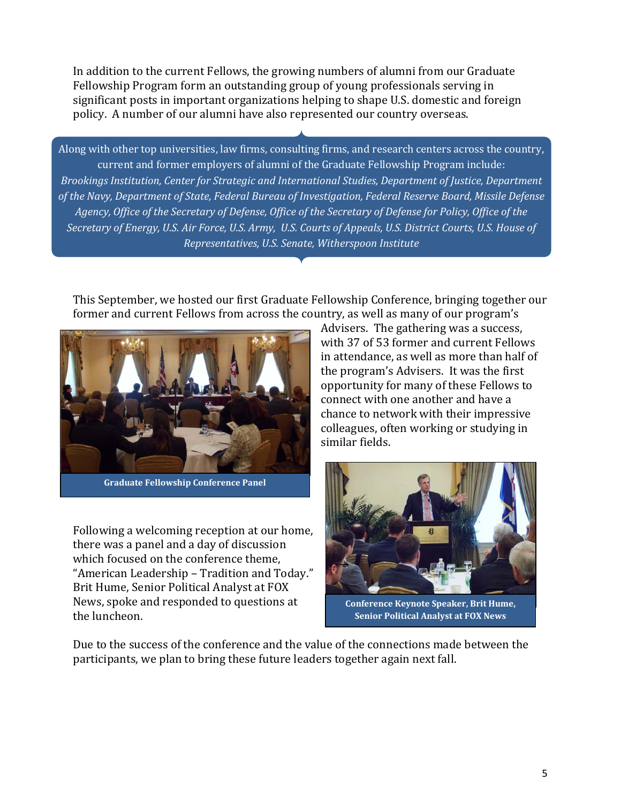In addition to the current Fellows, the growing numbers of alumni from our Graduate Fellowship Program form an outstanding group of young professionals serving in significant posts in important organizations helping to shape U.S. domestic and foreign policy. A number of our alumni have also represented our country overseas.

Along with other top universities, law firms, consulting firms, and research centers across the country, current and former employers of alumni of the Graduate Fellowship Program include: *Brookings Institution, Center for Strategic and International Studies, Department of Justice, Department of the Navy, Department of State, Federal Bureau of Investigation, Federal Reserve Board, Missile Defense Agency, Office of the Secretary of Defense, Office of the Secretary of Defense for Policy, Office of the Secretary of Energy, U.S. Air Force, U.S. Army, U.S. Courts of Appeals, U.S. District Courts, U.S. House of Representatives, U.S. Senate, Witherspoon Institute* 

This September, we hosted our first Graduate Fellowship Conference, bringing together our former and current Fellows from across the country, as well as many of our program's



**Graduate Fellowship Conference Panel** 

Following a welcoming reception at our home, there was a panel and a day of discussion which focused on the conference theme, "American Leadership – Tradition and Today." Brit Hume, Senior Political Analyst at FOX News, spoke and responded to questions at the luncheon.

Advisers. The gathering was a success, with 37 of 53 former and current Fellows in attendance, as well as more than half of the program's Advisers. It was the first opportunity for many of these Fellows to connect with one another and have a chance to network with their impressive colleagues, often working or studying in similar fields.



**Conference Keynote Speaker, Brit Hume, Senior Political Analyst at FOX News**

Due to the success of the conference and the value of the connections made between the participants, we plan to bring these future leaders together again next fall.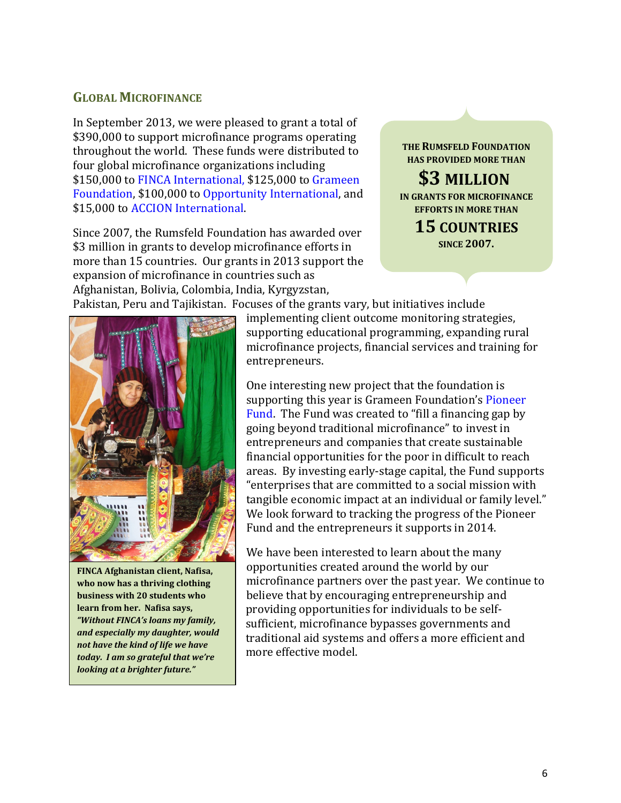#### **GLOBAL MICROFINANCE**

In September 2013, we were pleased to grant a total of \$390,000 to support microfinance programs operating throughout the world. These funds were distributed to four global microfinance organizations including \$150,000 to [FINCA International,](http://www.finca.org/site/c.6fIGIXMFJnJ0H/b.6088193/k.BE5D/Home.htm) \$125,000 to Grameen [Foundation,](http://www.grameenfoundation.org/) \$100,000 to [Opportunity International,](http://www.opportunity.org/) and \$15,000 to [ACCION International.](http://www.accion.org/)

Since 2007, the Rumsfeld Foundation has awarded over \$3 million in grants to develop microfinance efforts in more than 15 countries. Our grants in 2013 support the expansion of microfinance in countries such as Afghanistan, Bolivia, Colombia, India, Kyrgyzstan,

**THE RUMSFELD FOUNDATION HAS PROVIDED MORE THAN \$3 MILLION IN GRANTS FOR MICROFINANCE EFFORTS IN MORE THAN 15 COUNTRIES**

**SINCE 2007.**

Pakistan, Peru and Tajikistan. Focuses of the grants vary, but initiatives include



**FINCA Afghanistan client, Nafisa, who now has a thriving clothing business with 20 students who learn from her. Nafisa says,**  *"Without FINCA's loans my family, and especially my daughter, would not have the kind of life we have today. I am so grateful that we're looking at a brighter future."*

implementing client outcome monitoring strategies, supporting educational programming, expanding rural microfinance projects, financial services and training for entrepreneurs.

One interesting new project that the foundation is supporting this year is Grameen Foundation's [Pioneer](http://www.grameenfoundation.org/what-we-do/financial-services/impact-investing/pioneer-fund)  [Fund.](http://www.grameenfoundation.org/what-we-do/financial-services/impact-investing/pioneer-fund) The Fund was created to "fill a financing gap by going beyond traditional microfinance" to invest in entrepreneurs and companies that create sustainable financial opportunities for the poor in difficult to reach areas. By investing early-stage capital, the Fund supports "enterprises that are committed to a social mission with tangible economic impact at an individual or family level." We look forward to tracking the progress of the Pioneer Fund and the entrepreneurs it supports in 2014.

We have been interested to learn about the many opportunities created around the world by our microfinance partners over the past year. We continue to believe that by encouraging entrepreneurship and providing opportunities for individuals to be selfsufficient, microfinance bypasses governments and traditional aid systems and offers a more efficient and more effective model.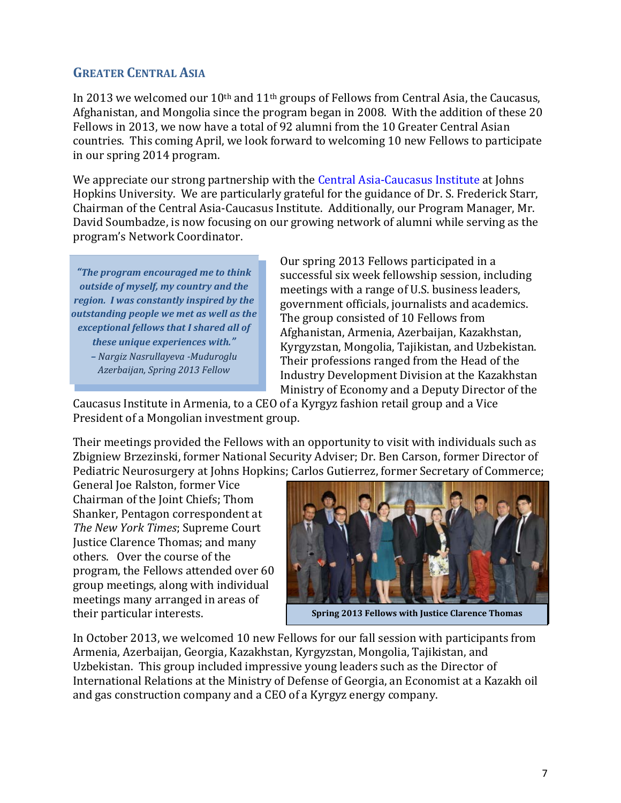## **GREATER CENTRAL ASIA**

In 2013 we welcomed our 10th and 11th groups of Fellows from Central Asia, the Caucasus, Afghanistan, and Mongolia since the program began in 2008. With the addition of these 20 Fellows in 2013, we now have a total of 92 alumni from the 10 Greater Central Asian countries. This coming April, we look forward to welcoming 10 new Fellows to participate in our spring 2014 program.

We appreciate our strong partnership with th[e Central Asia-Caucasus Institute](http://www.silkroadstudies.org/) at Johns Hopkins University. We are particularly grateful for the guidance of Dr. S. Frederick Starr, Chairman of the Central Asia-Caucasus Institute. Additionally, our Program Manager, Mr. David Soumbadze, is now focusing on our growing network of alumni while serving as the program's Network Coordinator.

*"The program encouraged me to think outside of myself, my country and the region. I was constantly inspired by the outstanding people we met as well as the exceptional fellows that I shared all of* 

*these unique experiences with." – Nargiz Nasrullayeva -Muduroglu Azerbaijan, Spring 2013 Fellow*

Our spring 2013 Fellows participated in a successful six week fellowship session, including meetings with a range of U.S. business leaders, government officials, journalists and academics. The group consisted of 10 Fellows from Afghanistan, Armenia, Azerbaijan, Kazakhstan, Kyrgyzstan, Mongolia, Tajikistan, and Uzbekistan. Their professions ranged from the Head of the Industry Development Division at the Kazakhstan Ministry of Economy and a Deputy Director of the

Caucasus Institute in Armenia, to a CEO of a Kyrgyz fashion retail group and a Vice President of a Mongolian investment group.

Their meetings provided the Fellows with an opportunity to visit with individuals such as Zbigniew Brzezinski, former National Security Adviser; Dr. Ben Carson, former Director of Pediatric Neurosurgery at Johns Hopkins; Carlos Gutierrez, former Secretary of Commerce;

General Joe Ralston, former Vice Chairman of the Joint Chiefs; Thom Shanker, Pentagon correspondent at *The New York Times*; Supreme Court Justice Clarence Thomas; and many others. Over the course of the program, the Fellows attended over 60 group meetings, along with individual meetings many arranged in areas of their particular interests.



**[Spring 2013 Fellows with Justice Clarence Thomas](http://www.flickr.com/photos/rumsfeldfoundation/sets/72157634110098982/)**

In October 2013, we welcomed 10 new Fellows for our fall session with participants from Armenia, Azerbaijan, Georgia, Kazakhstan, Kyrgyzstan, Mongolia, Tajikistan, and Uzbekistan. This group included impressive young leaders such as the Director of International Relations at the Ministry of Defense of Georgia, an Economist at a Kazakh oil and gas construction company and a CEO of a Kyrgyz energy company.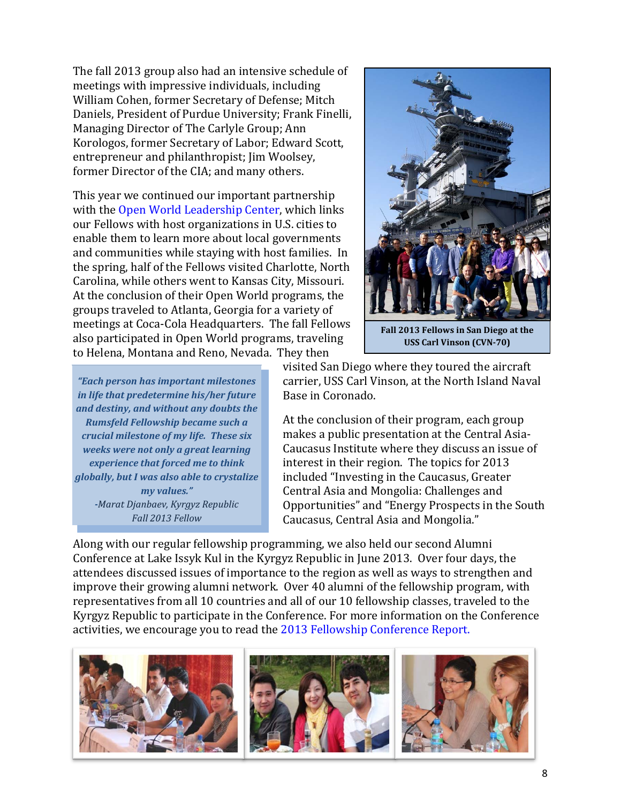The fall 2013 group also had an intensive schedule of meetings with impressive individuals, including William Cohen, former Secretary of Defense; Mitch Daniels, President of Purdue University; Frank Finelli, Managing Director of The Carlyle Group; Ann Korologos, former Secretary of Labor; Edward Scott, entrepreneur and philanthropist; Jim Woolsey, former Director of the CIA; and many others.

This year we continued our important partnership with the [Open World Leadership Center,](http://www.openworld.gov/) which links our Fellows with host organizations in U.S. cities to enable them to learn more about local governments and communities while staying with host families. In the spring, half of the Fellows visited Charlotte, North Carolina, while others went to Kansas City, Missouri. At the conclusion of their Open World programs, the groups traveled to Atlanta, Georgia for a variety of meetings at Coca-Cola Headquarters. The fall Fellows also participated in Open World programs, traveling to Helena, Montana and Reno, Nevada. They then

*"Each person has important milestones in life that predetermine his/her future and destiny, and without any doubts the Rumsfeld Fellowship became such a crucial milestone of my life. These six weeks were not only a great learning experience that forced me to think globally, but I was also able to crystalize my values." -Marat Djanbaev, Kyrgyz Republic Fall 2013 Fellow*



**Fall 2013 Fellows in San Diego at the USS Carl Vinson (CVN-70)**

visited San Diego where they toured the aircraft carrier, USS Carl Vinson, at the North Island Naval Base in Coronado.

At the conclusion of their program, each group makes a public presentation at the Central Asia-Caucasus Institute where they discuss an issue of interest in their region. The topics for 2013 included "Investing in the Caucasus, Greater Central Asia and Mongolia: Challenges and Opportunities" and "Energy Prospects in the South Caucasus, Central Asia and Mongolia."

Along with our regular fellowship programming, we also held our second Alumni Conference at Lake Issyk Kul in the Kyrgyz Republic in June 2013. Over four days, the attendees discussed issues of importance to the region as well as ways to strengthen and improve their growing alumni network. Over 40 alumni of the fellowship program, with representatives from all 10 countries and all of our 10 fellowship classes, traveled to the Kyrgyz Republic to participate in the Conference. For more information on the Conference activities, we encourage you to read the [2013 Fellowship Conference Report.](http://www.rumsfeldfoundation.org/doclib/20130718_2013FellowshipConference.pdf)